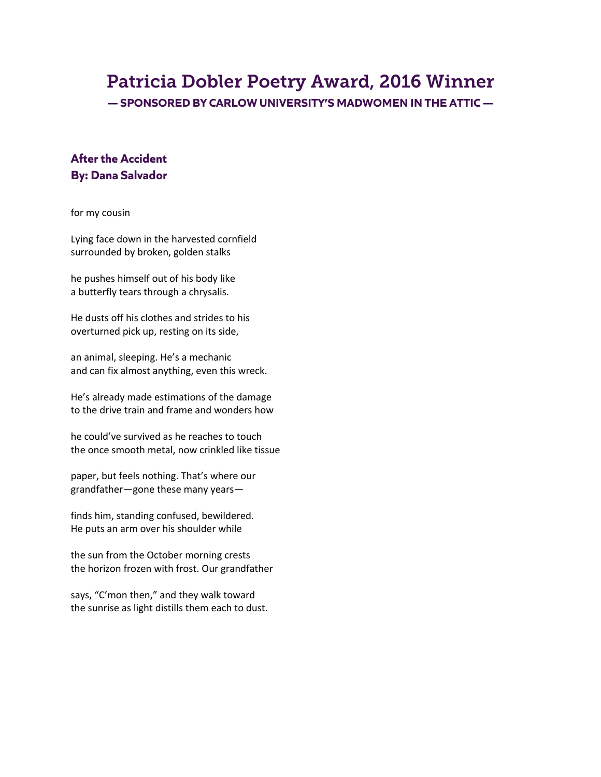# Patricia Dobler Poetry Award, 2016 Winner

**— SPONSORED BY CARLOW UNIVERSITY'S MADWOMEN IN THE ATTIC —**

## **After the Accident By: Dana Salvador**

for my cousin

Lying face down in the harvested cornfield surrounded by broken, golden stalks

he pushes himself out of his body like a butterfly tears through a chrysalis.

He dusts off his clothes and strides to his overturned pick up, resting on its side,

an animal, sleeping. He's a mechanic and can fix almost anything, even this wreck.

He's already made estimations of the damage to the drive train and frame and wonders how

he could've survived as he reaches to touch the once smooth metal, now crinkled like tissue

paper, but feels nothing. That's where our grandfather—gone these many years—

finds him, standing confused, bewildered. He puts an arm over his shoulder while

the sun from the October morning crests the horizon frozen with frost. Our grandfather

says, "C'mon then," and they walk toward the sunrise as light distills them each to dust.